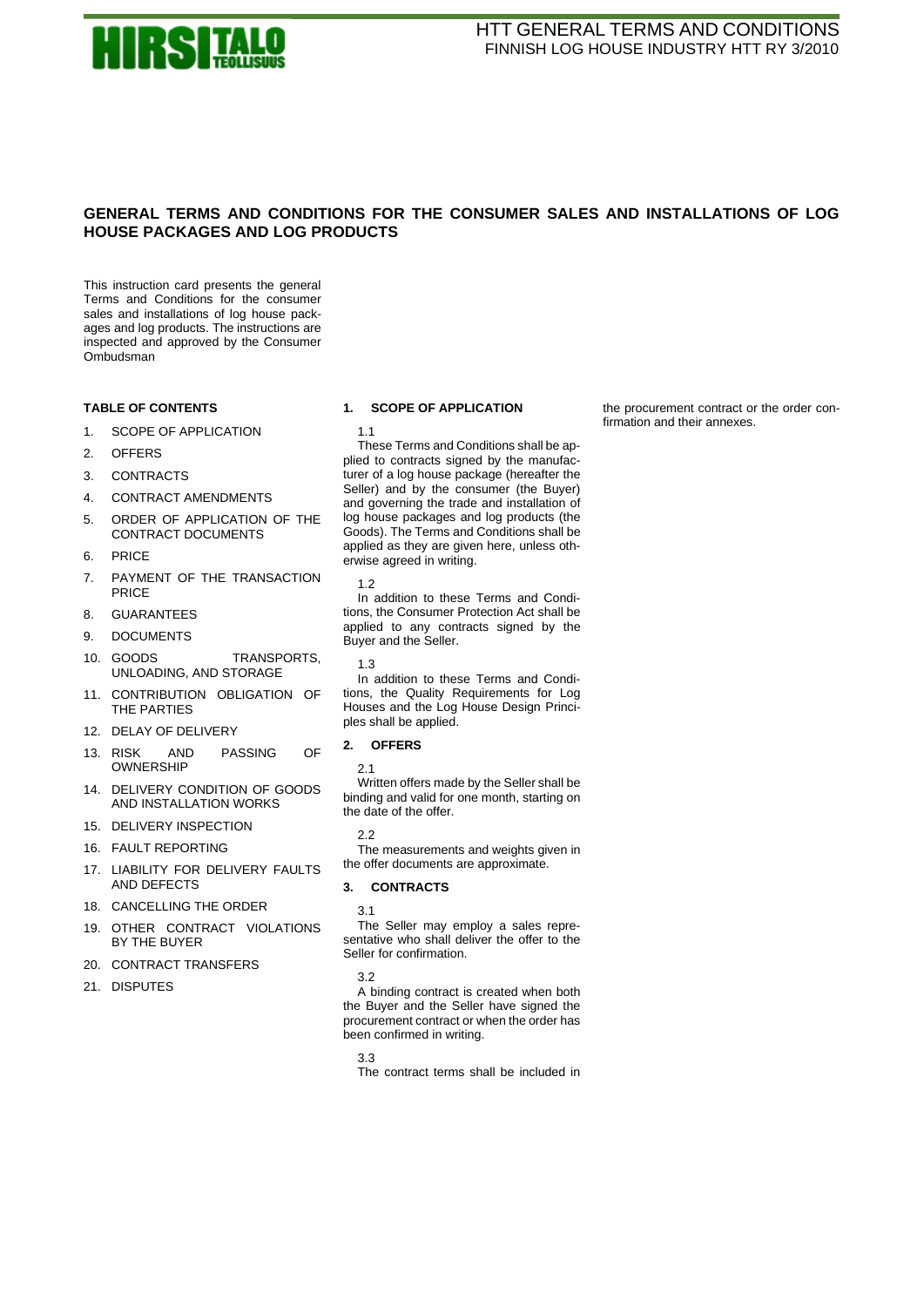

# **GENERAL TERMS AND CONDITIONS FOR THE CONSUMER SALES AND INSTALLATIONS OF LOG HOUSE PACKAGES AND LOG PRODUCTS**

This instruction card presents the general Terms and Conditions for the consumer sales and installations of log house packages and log products. The instructions are inspected and approved by the Consumer Ombudsman

# **TABLE OF CONTENTS**

- 1. [SCOPE OF APPLICATION](#page-0-0)
- 2. [OFFERS](#page-0-1)
- 3. [CONTRACTS](#page-0-2)
- 4. [CONTRACT AMENDMENTS](#page-1-0)
- 5. [ORDER OF APPLICATION OF THE](#page-1-1)  [CONTRACT DOCUMENTS](#page-1-1)
- 6. [PRICE](#page-1-2)
- 7. [PAYMENT OF THE TRANSACTION](#page-1-3)  [PRICE](#page-1-3)
- 8. [GUARANTEES](#page-1-4)
- 9. [DOCUMENTS](#page-1-5)
- 10. [GOODS TRANSPORTS,](#page-2-0)  [UNLOADING, AND STORAGE](#page-2-0)
- 11. [CONTRIBUTION OBLIGATION OF](#page-2-1)  [THE PARTIES](#page-2-1)
- 12. [DELAY OF DELIVERY](#page-2-2)
- 13. [RISK AND PASSING OF](#page-3-0)  [OWNERSHIP](#page-3-0)
- 14. [DELIVERY CONDITION OF GOODS](#page-3-1)  [AND INSTALLATION WORKS](#page-3-1)
- 15. [DELIVERY INSPECTION](#page-3-2)
- 16 [FAULT REPORTING](#page-3-3)
- 17. [LIABILITY FOR DELIVERY FAULTS](#page-3-4)  [AND DEFECTS](#page-3-4)
- 18. [CANCELLING THE ORDER](#page-4-0)
- 19. [OTHER CONTRACT VIOLATIONS](#page-4-1)  [BY THE BUYER](#page-4-1)
- 20. [CONTRACT TRANSFERS](#page-4-2)
- 21. [DISPUTES](#page-4-3)

# <span id="page-0-0"></span>**1. SCOPE OF APPLICATION**

1.1

These Terms and Conditions shall be applied to contracts signed by the manufacturer of a log house package (hereafter the Seller) and by the consumer (the Buyer) and governing the trade and installation of log house packages and log products (the Goods). The Terms and Conditions shall be applied as they are given here, unless otherwise agreed in writing.

1.2

In addition to these Terms and Conditions, the Consumer Protection Act shall be applied to any contracts signed by the Buyer and the Seller.

1.3

In addition to these Terms and Conditions, the Quality Requirements for Log Houses and the Log House Design Principles shall be applied.

# <span id="page-0-1"></span>**2. OFFERS**

2.1

Written offers made by the Seller shall be binding and valid for one month, starting on the date of the offer.

2.2

The measurements and weights given in the offer documents are approximate.

### <span id="page-0-2"></span>**3. CONTRACTS**

3.1

The Seller may employ a sales representative who shall deliver the offer to the Seller for confirmation.

A binding contract is created when both the Buyer and the Seller have signed the procurement contract or when the order has been confirmed in writing.

3.3

The contract terms shall be included in

the procurement contract or the order confirmation and their annexes.

<sup>3.2</sup>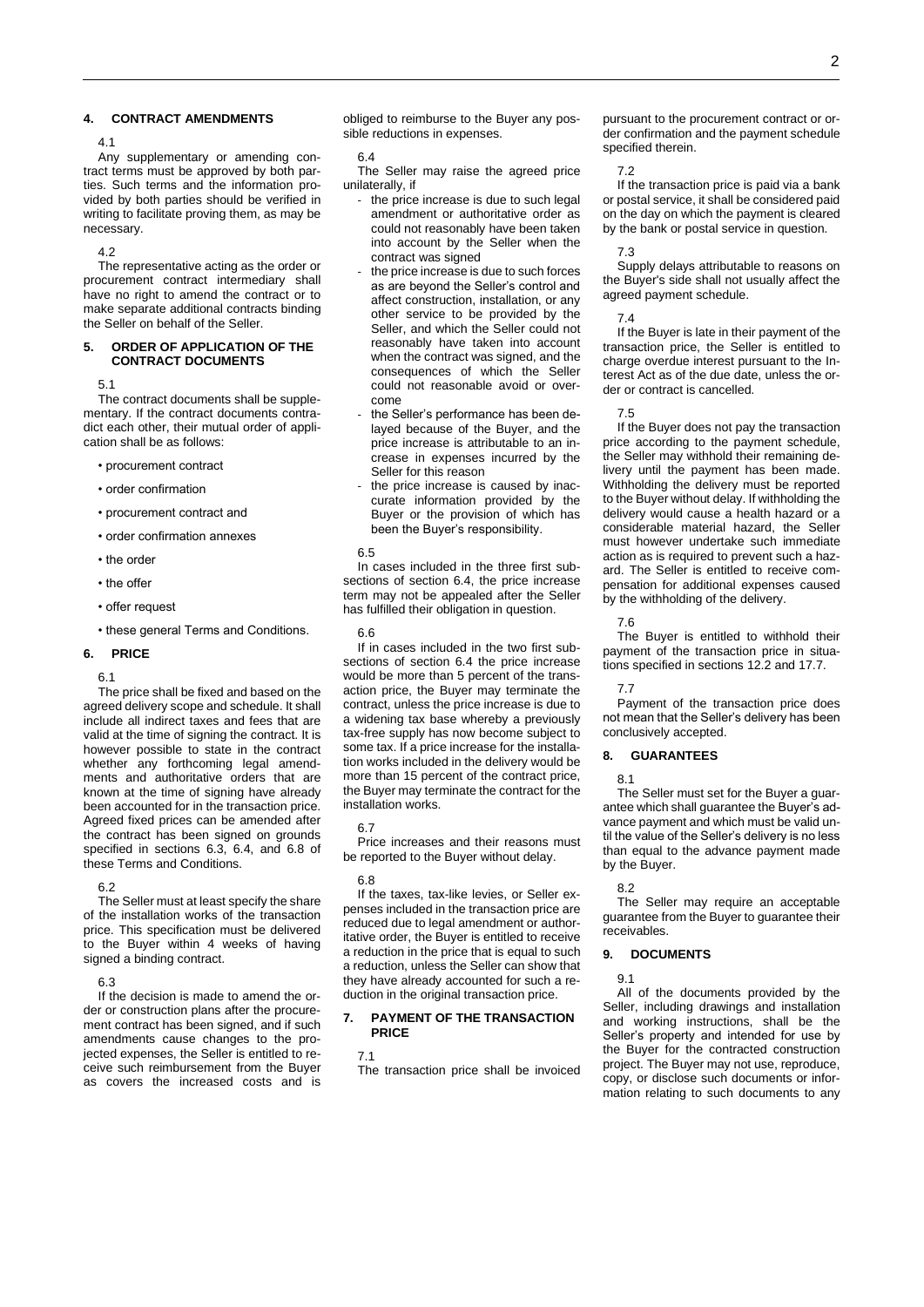# <span id="page-1-0"></span>**4. CONTRACT AMENDMENTS**

# 4.1

Any supplementary or amending contract terms must be approved by both parties. Such terms and the information provided by both parties should be verified in writing to facilitate proving them, as may be necessary.

# 4.2

The representative acting as the order or procurement contract intermediary shall have no right to amend the contract or to make separate additional contracts binding the Seller on behalf of the Seller.

## <span id="page-1-1"></span>**5. ORDER OF APPLICATION OF THE CONTRACT DOCUMENTS**

5.1

The contract documents shall be supplementary. If the contract documents contradict each other, their mutual order of application shall be as follows:

- procurement contract
- order confirmation
- procurement contract and
- order confirmation annexes
- the order
- the offer
- offer request
- these general Terms and Conditions.

# <span id="page-1-2"></span>**6. PRICE**

### 6.1

The price shall be fixed and based on the agreed delivery scope and schedule. It shall include all indirect taxes and fees that are valid at the time of signing the contract. It is however possible to state in the contract whether any forthcoming legal amendments and authoritative orders that are known at the time of signing have already been accounted for in the transaction price. Agreed fixed prices can be amended after the contract has been signed on grounds specified in sections 6.3, 6.4, and 6.8 of these Terms and Conditions.

### 6.2

The Seller must at least specify the share of the installation works of the transaction price. This specification must be delivered to the Buyer within 4 weeks of having signed a binding contract.

### 6.3

If the decision is made to amend the order or construction plans after the procurement contract has been signed, and if such amendments cause changes to the projected expenses, the Seller is entitled to receive such reimbursement from the Buyer as covers the increased costs and is obliged to reimburse to the Buyer any possible reductions in expenses.

#### 6.4

The Seller may raise the agreed price unilaterally, if

- the price increase is due to such legal amendment or authoritative order as could not reasonably have been taken into account by the Seller when the contract was signed
- the price increase is due to such forces as are beyond the Seller's control and affect construction, installation, or any other service to be provided by the Seller, and which the Seller could not reasonably have taken into account when the contract was signed, and the consequences of which the Seller could not reasonable avoid or overcome
- the Seller's performance has been delayed because of the Buyer, and the price increase is attributable to an increase in expenses incurred by the Seller for this reason
- the price increase is caused by inaccurate information provided by the Buyer or the provision of which has been the Buyer's responsibility.

### 6.5

In cases included in the three first subsections of section 6.4, the price increase term may not be appealed after the Seller has fulfilled their obligation in question.

### 6.6

If in cases included in the two first subsections of section 6.4 the price increase would be more than 5 percent of the transaction price, the Buyer may terminate the contract, unless the price increase is due to a widening tax base whereby a previously tax-free supply has now become subject to some tax. If a price increase for the installation works included in the delivery would be more than 15 percent of the contract price, the Buyer may terminate the contract for the installation works.

### 6.7

Price increases and their reasons must be reported to the Buyer without delay.

#### 6.8

If the taxes, tax-like levies, or Seller expenses included in the transaction price are reduced due to legal amendment or authoritative order, the Buyer is entitled to receive a reduction in the price that is equal to such a reduction, unless the Seller can show that they have already accounted for such a reduction in the original transaction price.

# <span id="page-1-3"></span>**7. PAYMENT OF THE TRANSACTION PRICE**

### 7.1

The transaction price shall be invoiced

pursuant to the procurement contract or order confirmation and the payment schedule specified therein.

#### 7.2

If the transaction price is paid via a bank or postal service, it shall be considered paid on the day on which the payment is cleared by the bank or postal service in question.

### 7.3

Supply delays attributable to reasons on the Buyer's side shall not usually affect the agreed payment schedule.

### 7.4

If the Buyer is late in their payment of the transaction price, the Seller is entitled to charge overdue interest pursuant to the Interest Act as of the due date, unless the order or contract is cancelled.

# 7.5

If the Buyer does not pay the transaction price according to the payment schedule, the Seller may withhold their remaining delivery until the payment has been made. Withholding the delivery must be reported to the Buyer without delay. If withholding the delivery would cause a health hazard or a considerable material hazard, the Seller must however undertake such immediate action as is required to prevent such a hazard. The Seller is entitled to receive compensation for additional expenses caused by the withholding of the delivery.

7.6

The Buyer is entitled to withhold their payment of the transaction price in situations specified in sections 12.2 and 17.7.

### 7.7

Payment of the transaction price does not mean that the Seller's delivery has been conclusively accepted.

# <span id="page-1-4"></span>**8. GUARANTEES**

### 8.1

The Seller must set for the Buyer a guarantee which shall guarantee the Buyer's advance payment and which must be valid until the value of the Seller's delivery is no less than equal to the advance payment made by the Buyer.

### 8.2

The Seller may require an acceptable guarantee from the Buyer to guarantee their receivables.

### <span id="page-1-5"></span>**9. DOCUMENTS**

9.1

All of the documents provided by the Seller, including drawings and installation and working instructions, shall be the Seller's property and intended for use by the Buyer for the contracted construction project. The Buyer may not use, reproduce, copy, or disclose such documents or information relating to such documents to any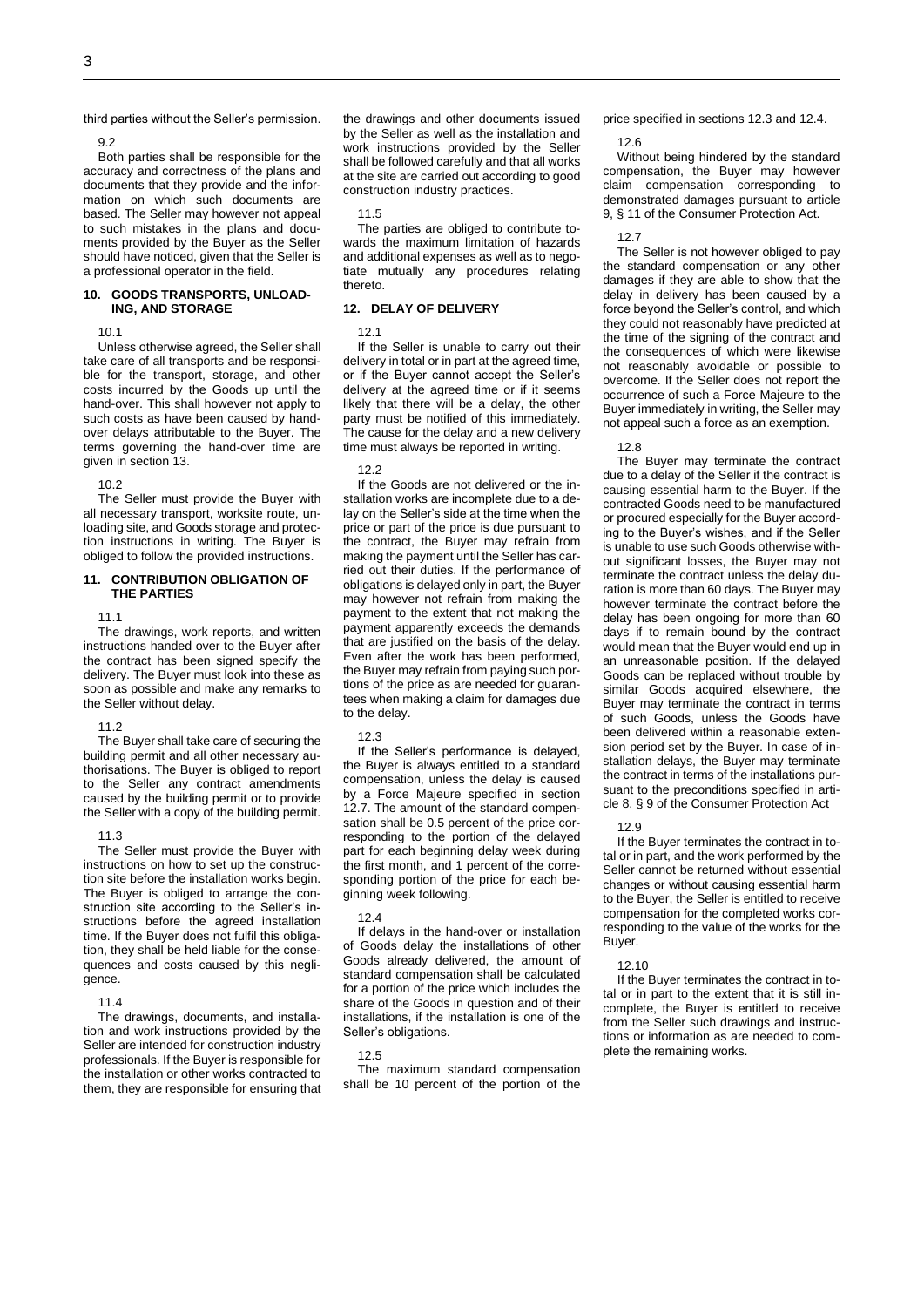third parties without the Seller's permission.

9.2

Both parties shall be responsible for the accuracy and correctness of the plans and documents that they provide and the information on which such documents are based. The Seller may however not appeal to such mistakes in the plans and documents provided by the Buyer as the Seller should have noticed, given that the Seller is a professional operator in the field.

# <span id="page-2-0"></span>**10. GOODS TRANSPORTS, UNLOAD-ING, AND STORAGE**

10.1

Unless otherwise agreed, the Seller shall take care of all transports and be responsible for the transport, storage, and other costs incurred by the Goods up until the hand-over. This shall however not apply to such costs as have been caused by handover delays attributable to the Buyer. The terms governing the hand-over time are given in section 13.

10.2

The Seller must provide the Buyer with all necessary transport, worksite route, unloading site, and Goods storage and protection instructions in writing. The Buyer is obliged to follow the provided instructions.

# <span id="page-2-1"></span>**11. CONTRIBUTION OBLIGATION OF THE PARTIES**

11.1

The drawings, work reports, and written instructions handed over to the Buyer after the contract has been signed specify the delivery. The Buyer must look into these as soon as possible and make any remarks to the Seller without delay.

### 11.2

The Buyer shall take care of securing the building permit and all other necessary authorisations. The Buyer is obliged to report to the Seller any contract amendments caused by the building permit or to provide the Seller with a copy of the building permit.

#### 11.3

The Seller must provide the Buyer with instructions on how to set up the construction site before the installation works begin. The Buyer is obliged to arrange the construction site according to the Seller's instructions before the agreed installation time. If the Buyer does not fulfil this obligation, they shall be held liable for the consequences and costs caused by this negligence.

#### 11.4

The drawings, documents, and installation and work instructions provided by the Seller are intended for construction industry professionals. If the Buyer is responsible for the installation or other works contracted to them, they are responsible for ensuring that the drawings and other documents issued by the Seller as well as the installation and work instructions provided by the Seller shall be followed carefully and that all works at the site are carried out according to good construction industry practices.

11.5

The parties are obliged to contribute towards the maximum limitation of hazards and additional expenses as well as to negotiate mutually any procedures relating thereto.

### <span id="page-2-2"></span>**12. DELAY OF DELIVERY**

### 12.1

If the Seller is unable to carry out their delivery in total or in part at the agreed time, or if the Buyer cannot accept the Seller's delivery at the agreed time or if it seems likely that there will be a delay, the other party must be notified of this immediately. The cause for the delay and a new delivery time must always be reported in writing.

# 12.2

If the Goods are not delivered or the installation works are incomplete due to a delay on the Seller's side at the time when the price or part of the price is due pursuant to the contract, the Buyer may refrain from making the payment until the Seller has carried out their duties. If the performance of obligations is delayed only in part, the Buyer may however not refrain from making the payment to the extent that not making the payment apparently exceeds the demands that are justified on the basis of the delay. Even after the work has been performed, the Buyer may refrain from paying such portions of the price as are needed for guarantees when making a claim for damages due to the delay.

### 12.3

If the Seller's performance is delayed, the Buyer is always entitled to a standard compensation, unless the delay is caused by a Force Majeure specified in section 12.7. The amount of the standard compensation shall be 0.5 percent of the price corresponding to the portion of the delayed part for each beginning delay week during the first month, and 1 percent of the corresponding portion of the price for each beginning week following.

### 12.4

If delays in the hand-over or installation of Goods delay the installations of other Goods already delivered, the amount of standard compensation shall be calculated for a portion of the price which includes the share of the Goods in question and of their installations, if the installation is one of the Seller's obligations.

### 12.5

The maximum standard compensation shall be 10 percent of the portion of the price specified in sections 12.3 and 12.4.

### 12.6

Without being hindered by the standard compensation, the Buyer may however claim compensation corresponding to demonstrated damages pursuant to article 9, § 11 of the Consumer Protection Act.

12.7

The Seller is not however obliged to pay the standard compensation or any other damages if they are able to show that the delay in delivery has been caused by a force beyond the Seller's control, and which they could not reasonably have predicted at the time of the signing of the contract and the consequences of which were likewise not reasonably avoidable or possible to overcome. If the Seller does not report the occurrence of such a Force Majeure to the Buyer immediately in writing, the Seller may not appeal such a force as an exemption.

12.8

The Buyer may terminate the contract due to a delay of the Seller if the contract is causing essential harm to the Buyer. If the contracted Goods need to be manufactured or procured especially for the Buyer according to the Buyer's wishes, and if the Seller is unable to use such Goods otherwise without significant losses, the Buyer may not terminate the contract unless the delay duration is more than 60 days. The Buyer may however terminate the contract before the delay has been ongoing for more than 60 days if to remain bound by the contract would mean that the Buyer would end up in an unreasonable position. If the delayed Goods can be replaced without trouble by similar Goods acquired elsewhere, the Buyer may terminate the contract in terms of such Goods, unless the Goods have been delivered within a reasonable extension period set by the Buyer. In case of installation delays, the Buyer may terminate the contract in terms of the installations pursuant to the preconditions specified in article 8, § 9 of the Consumer Protection Act

# 12.9

If the Buyer terminates the contract in total or in part, and the work performed by the Seller cannot be returned without essential changes or without causing essential harm to the Buyer, the Seller is entitled to receive compensation for the completed works corresponding to the value of the works for the Buyer.

### 12.10

If the Buyer terminates the contract in total or in part to the extent that it is still incomplete, the Buyer is entitled to receive from the Seller such drawings and instructions or information as are needed to complete the remaining works.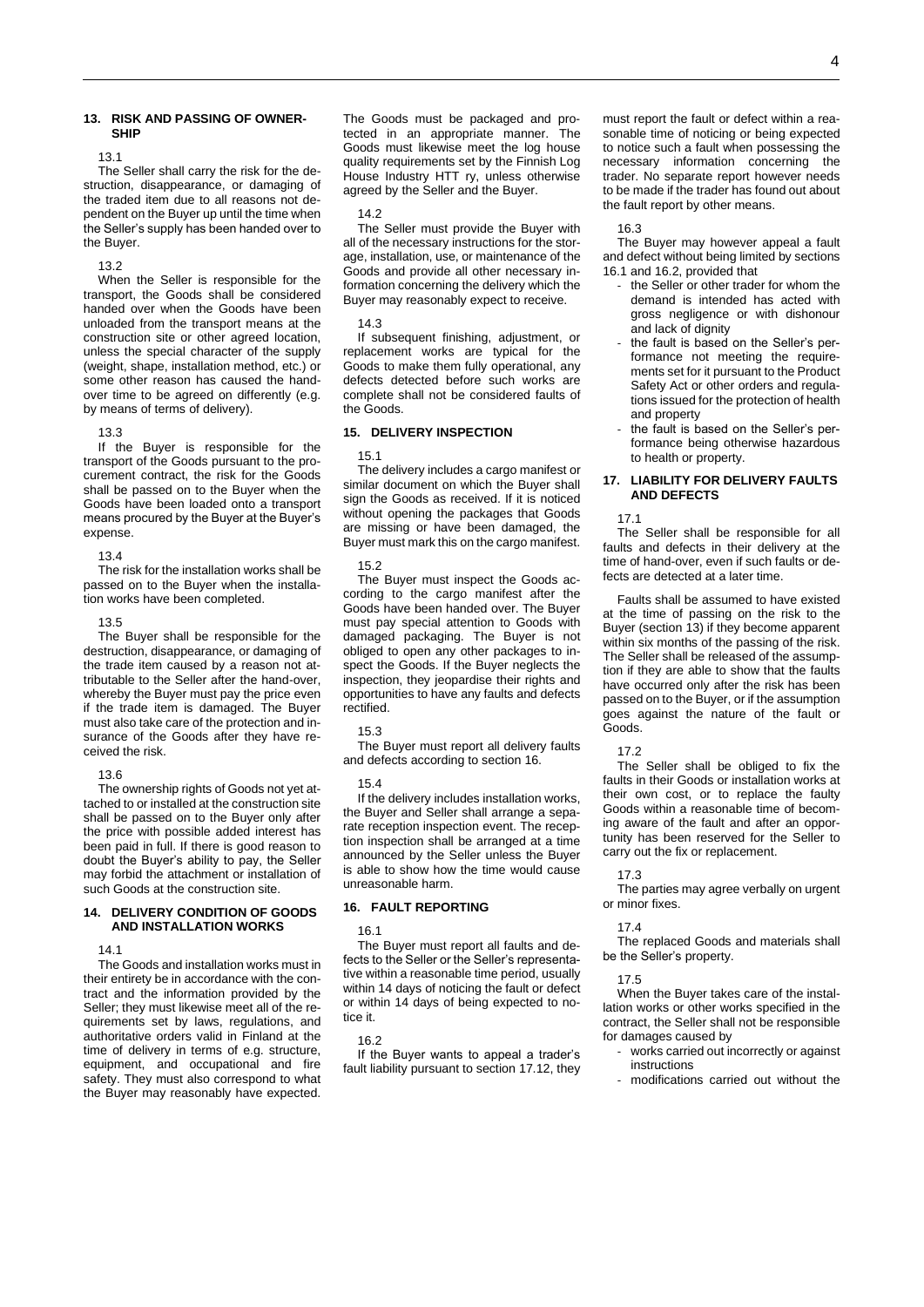# <span id="page-3-0"></span>**13. RISK AND PASSING OF OWNER-SHIP**

13.1

The Seller shall carry the risk for the destruction, disappearance, or damaging of the traded item due to all reasons not dependent on the Buyer up until the time when the Seller's supply has been handed over to the Buyer.

### 13.2

When the Seller is responsible for the transport, the Goods shall be considered handed over when the Goods have been unloaded from the transport means at the construction site or other agreed location, unless the special character of the supply (weight, shape, installation method, etc.) or some other reason has caused the handover time to be agreed on differently (e.g. by means of terms of delivery).

#### 13.3

If the Buyer is responsible for the transport of the Goods pursuant to the procurement contract, the risk for the Goods shall be passed on to the Buyer when the Goods have been loaded onto a transport means procured by the Buyer at the Buyer's expense.

### 13.4

The risk for the installation works shall be passed on to the Buyer when the installation works have been completed.

### 13.5

The Buyer shall be responsible for the destruction, disappearance, or damaging of the trade item caused by a reason not attributable to the Seller after the hand-over, whereby the Buyer must pay the price even if the trade item is damaged. The Buyer must also take care of the protection and insurance of the Goods after they have received the risk.

### 13.6

The ownership rights of Goods not yet attached to or installed at the construction site shall be passed on to the Buyer only after the price with possible added interest has been paid in full. If there is good reason to doubt the Buyer's ability to pay, the Seller may forbid the attachment or installation of such Goods at the construction site.

### <span id="page-3-1"></span>**14. DELIVERY CONDITION OF GOODS AND INSTALLATION WORKS**

# 14.1

The Goods and installation works must in their entirety be in accordance with the contract and the information provided by the Seller; they must likewise meet all of the requirements set by laws, regulations, and authoritative orders valid in Finland at the time of delivery in terms of e.g. structure, equipment, and occupational and fire safety. They must also correspond to what the Buyer may reasonably have expected.

The Goods must be packaged and protected in an appropriate manner. The Goods must likewise meet the log house quality requirements set by the Finnish Log House Industry HTT ry, unless otherwise agreed by the Seller and the Buyer.

### 14.2

The Seller must provide the Buyer with all of the necessary instructions for the storage, installation, use, or maintenance of the Goods and provide all other necessary information concerning the delivery which the Buyer may reasonably expect to receive.

#### 14.3

If subsequent finishing, adjustment, or replacement works are typical for the Goods to make them fully operational, any defects detected before such works are complete shall not be considered faults of the Goods.

# <span id="page-3-2"></span>**15. DELIVERY INSPECTION**

#### 15.1

The delivery includes a cargo manifest or similar document on which the Buyer shall sign the Goods as received. If it is noticed without opening the packages that Goods are missing or have been damaged, the Buyer must mark this on the cargo manifest.

## 15.2

The Buyer must inspect the Goods according to the cargo manifest after the Goods have been handed over. The Buyer must pay special attention to Goods with damaged packaging. The Buyer is not obliged to open any other packages to inspect the Goods. If the Buyer neglects the inspection, they jeopardise their rights and opportunities to have any faults and defects rectified.

# 15.3

The Buyer must report all delivery faults and defects according to section 16.

# 15.4

If the delivery includes installation works, the Buyer and Seller shall arrange a separate reception inspection event. The reception inspection shall be arranged at a time announced by the Seller unless the Buyer is able to show how the time would cause unreasonable harm.

# <span id="page-3-3"></span>**16. FAULT REPORTING**

### 16.1

The Buyer must report all faults and defects to the Seller or the Seller's representative within a reasonable time period, usually within 14 days of noticing the fault or defect or within 14 days of being expected to notice it.

# 16.2

If the Buyer wants to appeal a trader's fault liability pursuant to section 17.12, they must report the fault or defect within a reasonable time of noticing or being expected to notice such a fault when possessing the necessary information concerning the trader. No separate report however needs to be made if the trader has found out about the fault report by other means.

### 16.3

The Buyer may however appeal a fault and defect without being limited by sections 16.1 and 16.2, provided that

- the Seller or other trader for whom the demand is intended has acted with gross negligence or with dishonour and lack of dignity
- the fault is based on the Seller's performance not meeting the requirements set for it pursuant to the Product Safety Act or other orders and regulations issued for the protection of health and property
- the fault is based on the Seller's performance being otherwise hazardous to health or property.

### <span id="page-3-4"></span>**17. LIABILITY FOR DELIVERY FAULTS AND DEFECTS**

17.1

The Seller shall be responsible for all faults and defects in their delivery at the time of hand-over, even if such faults or defects are detected at a later time.

Faults shall be assumed to have existed at the time of passing on the risk to the Buyer (section 13) if they become apparent within six months of the passing of the risk. The Seller shall be released of the assumption if they are able to show that the faults have occurred only after the risk has been passed on to the Buyer, or if the assumption goes against the nature of the fault or Goods.

# 17.2

The Seller shall be obliged to fix the faults in their Goods or installation works at their own cost, or to replace the faulty Goods within a reasonable time of becoming aware of the fault and after an opportunity has been reserved for the Seller to carry out the fix or replacement.

# 17.3

The parties may agree verbally on urgent or minor fixes.

### 17.4

The replaced Goods and materials shall be the Seller's property.

### 17.5

When the Buyer takes care of the installation works or other works specified in the contract, the Seller shall not be responsible for damages caused by

- works carried out incorrectly or against instructions
- modifications carried out without the